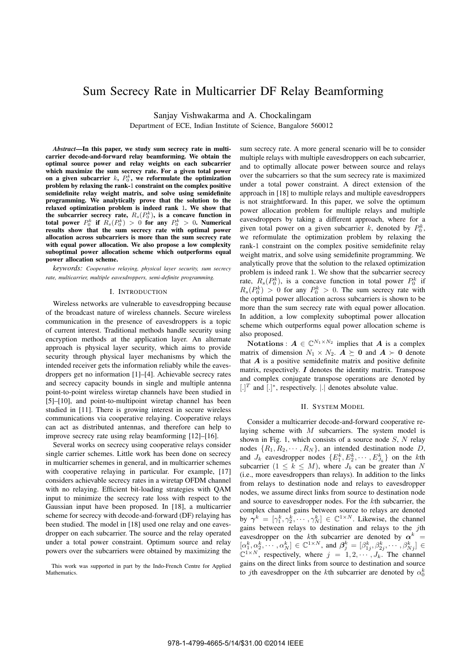# Sum Secrecy Rate in Multicarrier DF Relay Beamforming

Sanjay Vishwakarma and A. Chockalingam

Department of ECE, Indian Institute of Science, Bangalore 560012

*Abstract***—In this paper, we study sum secrecy rate in multicarrier decode-and-forward relay beamforming. We obtain the optimal source power and relay weights on each subcarrier which maximize the sum secrecy rate. For a given total power** on a given subcarrier  $k$ ,  $P_0^k$ , we reformulate the optimization **problem by relaxing the rank-**1 **constraint on the complex positive** semidefinite relay weight matrix, and solve using semidefinite **programming. We analytically prove that the solution to the relaxed optimization problem is indeed rank** 1**. We show that** the subcarrier secrecy rate,  $R_s(P_0^k)$ , is a concave function in **total power**  $P_0^k$  **if**  $R_s(P_0^k) > 0$  **for any**  $P_0^k > 0$ . Numerical **results show that the sum secrecy rate with optimal power allocation across subcarriers is more than the sum secrecy rate with equal power allocation. We also propose a low complexity suboptimal power allocation scheme which outperforms equal power allocation scheme.**

*keywords: Cooperative relaying, physical layer security, sum secrecy rate, multicarrier, multiple eavesdroppers, semi-definite programming.*

# I. INTRODUCTION

Wireless networks are vulnerable to eavesdropping because of the broadcast nature of wireless channels. Secure wireless communication in the presence of eavesdroppers is a topic of current interest. Traditional methods handle security using encryption methods at the application layer. An alternate approach is physical layer security, which aims to provide security through physical layer mechanisms by which the intended receiver gets the information reliably while the eavesdroppers get no information [1]–[4]. Achievable secrecy rates and secrecy capacity bounds in single and multiple antenna point-to-point wireless wiretap channels have been studied in [5]–[10], and point-to-multipoint wiretap channel has been studied in [11]. There is growing interest in secure wireless communications via cooperative relaying. Cooperative relays can act as distributed antennas, and therefore can help to improve secrecy rate using relay beamforming [12]–[16].

Several works on secrecy using cooperative relays consider single carrier schemes. Little work has been done on secrecy in multicarrier schemes in general, and in multicarrier schemes with cooperative relaying in particular. For example, [17] considers achievable secrecy rates in a wiretap OFDM channel with no relaying. Efficient bit-loading strategies with QAM input to minimize the secrecy rate loss with respect to the Gaussian input have been proposed. In [18], a multicarrier scheme for secrecy with decode-and-forward (DF) relaying has been studied. The model in [18] used one relay and one eavesdropper on each subcarrier. The source and the relay operated under a total power constraint. Optimum source and relay powers over the subcarriers were obtained by maximizing the

This work was supported in part by the Indo-French Centre for Applied **Mathematics** 

sum secrecy rate. A more general scenario will be to consider multiple relays with multiple eavesdroppers on each subcarrier, and to optimally allocate power between source and relays over the subcarriers so that the sum secrecy rate is maximized under a total power constraint. A direct extension of the approach in [18] to multiple relays and multiple eavesdroppers is not straightforward. In this paper, we solve the optimum power allocation problem for multiple relays and multiple eavesdroppers by taking a different approach, where for a given total power on a given subcarrier k, denoted by  $P_0^k$ , we reformulate the optimization problem by relaxing the rank-1 constraint on the complex positive semidefinite relay weight matrix, and solve using semidefinite programming. We analytically prove that the solution to the relaxed optimization problem is indeed rank 1. We show that the subcarrier secrecy rate,  $R_s(P_0^k)$ , is a concave function in total power  $P_0^k$  if  $R_s(P_0^k) > 0$  for any  $P_0^k > 0$ . The sum secrecy rate with the optimal power allocation across subcarriers is shown to be more than the sum secrecy rate with equal power allocation. In addition, a low complexity suboptimal power allocation scheme which outperforms equal power allocation scheme is also proposed.

Notations :  $A \in \mathbb{C}^{N_1 \times N_2}$  implies that A is a complex matrix of dimension  $N_1 \times N_2$ .  $\mathbf{A} \succ \mathbf{0}$  and  $\mathbf{A} \succ \mathbf{0}$  denote that  $\boldsymbol{A}$  is a positive semidefinite matrix and positive definite matrix, respectively.  $I$  denotes the identity matrix. Transpose and complex conjugate transpose operations are denoted by  $[.]^T$  and  $[.]^*$ , respectively.  $|.]$  denotes absolute value.

### II. SYSTEM MODEL

Consider a multicarrier decode-and-forward cooperative relaying scheme with  $M$  subcarriers. The system model is shown in Fig. 1, which consists of a source node  $S$ ,  $N$  relay nodes  $\{R_1, R_2, \cdots, R_N\}$ , an intended destination node D, and  $J_k$  eavesdropper nodes  $\{E_1^k, E_2^k, \cdots, E_{J_k}^k\}$  on the kth subcarrier  $(1 \leq k \leq M)$ , where  $J_k$  can be greater than N (i.e., more eavesdroppers than relays). In addition to the links from relays to destination node and relays to eavesdropper nodes, we assume direct links from source to destination node and source to eavesdropper nodes. For the  $k$ th subcarrier, the complex channel gains between source to relays are denoted by  $\gamma^k = [\gamma_1^k, \gamma_2^k, \cdots, \gamma_N^k] \in \mathbb{C}^{1 \times N}$ . Likewise, the channel gains between relays to destination and relays to the jth eavesdropper on the kth subcarrier are denoted by  $\alpha^k =$  $[\alpha_1^k, \alpha_2^k, \cdots, \alpha_N^k] \in \mathbb{C}^{1 \times N}$ , and  $\boldsymbol{\beta}_j^k = [\beta_{1j}^k, \beta_{2j}^k, \cdots, \beta_{Nj}^k] \in$  $\mathbb{C}^{1 \times N}$ , respectively, where  $j = 1, 2, \cdots, J_k$ . The channel gains on the direct links from source to destination and source to jth eavesdropper on the kth subcarrier are denoted by  $\alpha_0^k$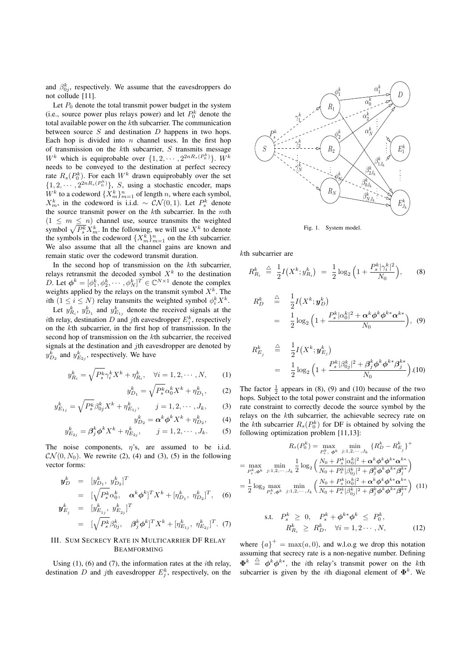and  $\beta_{0j}^k$ , respectively. We assume that the eavesdroppers do not collude [11].

Let  $P_0$  denote the total transmit power budget in the system (i.e., source power plus relays power) and let  $P_0^k$  denote the total available power on the  $k$ th subcarrier. The communication between source  $S$  and destination  $D$  happens in two hops. Each hop is divided into  $n$  channel uses. In the first hop of transmission on the  $k$ th subcarrier,  $S$  transmits message  $W^k$  which is equiprobable over  $\{1, 2, \cdots, 2^{2nR_s(P_0^k)}\}$ .  $W^k$ needs to be conveyed to the destination at perfect secrecy rate  $R_s(P_0^k)$ . For each  $W^k$  drawn equiprobably over the set  $\{1, 2, \cdots, 2^{2nR_s(P_0^k)}\}, S$ , using a stochastic encoder, maps  $W^k$  to a codeword  $\{X^k_m\}_{m=1}^n$  of length n, where each symbol,  $X_m^k$ , in the codeword is i.i.d. ~  $CN(0, 1)$ . Let  $P_s^k$  denote the source transmit power on the  $k$ th subcarrier. In the  $m$ th  $(1 \leq m \leq n)$  channel use, source transmits the weighted symbol  $\sqrt{P_s^k} X_m^k$ . In the following, we will use  $X^k$  to denote the symbols in the codeword  $\{X_m^k\}_{m=1}^n$  on the kth subcarrier. We also assume that all the channel gains are known and remain static over the codeword transmit duration.

In the second hop of transmission on the  $k$ th subcarrier, relays retransmit the decoded symbol  $X<sup>k</sup>$  to the destination D. Let  $\phi^k = [\phi_1^k, \phi_2^k, \cdots, \phi_N^k]^T \in \mathbb{C}^{N \times 1}$  denote the complex weights applied by the relays on the transmit symbol  $X^k$ . The ith  $(1 \le i \le N)$  relay transmits the weighted symbol  $\phi_i^k X^k$ .

Let  $y_{R_i}^k$ ,  $y_{D_1}^k$  and  $y_{E_{1j}}^k$  denote the received signals at the *i*th relay, destination D and jth eavesdropper  $E_j^k$ , respectively on the  $k$ th subcarrier, in the first hop of transmission. In the second hop of transmission on the kth subcarrier, the received signals at the destination and  $j$ th eavesdropper are denoted by  $y_{D_2}^k$  and  $y_{E_{2j}}^k$ , respectively. We have

$$
y_{R_i}^k = \sqrt{P_s^k} \gamma_i^k X^k + \eta_{R_i}^k, \quad \forall i = 1, 2, \cdots, N, \quad (1)
$$

$$
b_{D_1}^k = \sqrt{P_s^k} \alpha_0^k X^k + \eta_{D_1}^k, \qquad (2)
$$

$$
y_{E_{1j}}^k = \sqrt{P_s^k} \beta_{0j}^k X^k + \eta_{E_{1j}}^k, \qquad j = 1, 2, \cdots, J_k, \qquad (3)
$$

 $\overline{\mathfrak{c}}$ 

$$
y_{D_2}^k = \alpha^k \phi^k X^k + \eta_{D_2}^k, \qquad (4)
$$

$$
y_{E_{2j}}^k = \beta_j^k \phi^k X^k + \eta_{E_{2j}}^k, \qquad j = 1, 2, \cdots, J_k.
$$
 (5)

The noise components,  $\eta$ 's, are assumed to be i.i.d.  $\mathcal{CN}(0, N_0)$ . We rewrite (2), (4) and (3), (5) in the following vector forms:

$$
\mathbf{y}_{D}^{k} = [y_{D_{1}}^{k}, y_{D_{2}}^{k}]^{T}
$$
\n
$$
= [\sqrt{P_{s}^{k}} \alpha_{0}^{k}, \quad \alpha^{k} \phi^{k}]^{T} X^{k} + [\eta_{D_{1}}^{k}, \eta_{D_{2}}^{k}]^{T}, \quad (6)
$$
\n
$$
\mathbf{y}_{E_{j}}^{k} = [y_{E_{1j}}^{k}, y_{E_{2j}}^{k}]^{T}
$$
\n
$$
= [\sqrt{P_{s}^{k}} \beta_{0j}^{k}, \quad \beta_{j}^{k} \phi^{k}]^{T} X^{k} + [\eta_{E_{1j}}^{k}, \eta_{E_{2j}}^{k}]^{T}. \quad (7)
$$

# III. SUM SECRECY RATE IN MULTICARRIER DF RELAY BEAMFORMING

Using  $(1)$ ,  $(6)$  and  $(7)$ , the information rates at the *i*th relay, destination D and jth eavesdropper  $E_j^k$ , respectively, on the



Fig. 1. System model.

 $k$ th subcarrier are

$$
R_{R_i}^k \triangleq \frac{1}{2} I\big(X^k; y_{R_i}^k\big) = \frac{1}{2} \log_2 \left(1 + \frac{P_s^k |\gamma_i^k|^2}{N_0}\right), \qquad (8)
$$

$$
R_D^k \triangleq \frac{1}{2} I(X^k; \mathbf{y}_D^k)
$$
  
= 
$$
\frac{1}{2} \log_2 \left( 1 + \frac{P_s^k |\alpha_0^k|^2 + \alpha^k \phi^k \phi^{k*} \alpha^{k*}}{N_0} \right), \quad (9)
$$

$$
R_{E_j}^k \triangleq \frac{1}{2} I(X^k; \mathbf{y}_{E_j}^k)
$$
  
= 
$$
\frac{1}{2} \log_2 \left( 1 + \frac{P_s^k |\beta_{0j}^k|^2 + \beta_j^k \phi^k \phi^{k*} \beta_j^{k*}}{N_0} \right). (10)
$$

The factor  $\frac{1}{2}$  appears in (8), (9) and (10) because of the two hops. Subject to the total power constraint and the information rate constraint to correctly decode the source symbol by the relays on the kth subcarrier, the achievable secrecy rate on the kth subcarrier  $R_s(P_0^k)$  for DF is obtained by solving the following optimization problem [11,13]:

$$
R_s(P_0^k) = \max_{P_s^k, \phi^k} \min_{j:1,2,\dots, J_k} \{R_D^k - R_{E_j}^k\}^+
$$
  
= 
$$
\max_{P_s^k, \phi^k} \min_{j:1,2,\dots, J_k} \frac{1}{2} \log_2 \left( \frac{N_0 + P_s^k |\alpha_0^k|^2 + \alpha^k \phi^k \phi^{k*} \alpha^{k*}}{N_0 + P_s^k |\beta_{0j}^k|^2 + \beta_j^k \phi^k \phi^{k*} \beta_j^{k*}} \right)
$$
  
= 
$$
\frac{1}{2} \log_2 \max_{P_s^k, \phi^k} \min_{j:1,2,\dots, J_k} \left( \frac{N_0 + P_s^k |\alpha_0^k|^2 + \alpha^k \phi^k \phi^{k*} \alpha^{k*}}{N_0 + P_s^k |\beta_{0j}^k|^2 + \beta_j^k \phi^k \phi^{k*} \beta_j^{k*}} \right)
$$
(11)

s.t. 
$$
P_s^k \geq 0
$$
,  $P_s^k + \phi^{k*} \phi^k \leq P_0^k$ ,  
\n $R_{R_i}^k \geq R_D^k$ ,  $\forall i = 1, 2 \cdots, N$ , (12)

where  ${a}^{\dagger} = \max(a, 0)$ , and w.l.o.g we drop this notation assuming that secrecy rate is a non-negative number. Defining  $\mathbf{\Phi}^{k} \triangleq \mathbf{\phi}^{k} \mathbf{\phi}^{k*}$ , the *i*th relay's transmit power on the *k*th subcarrier is given by the *i*th diagonal element of  $\Phi^k$ . We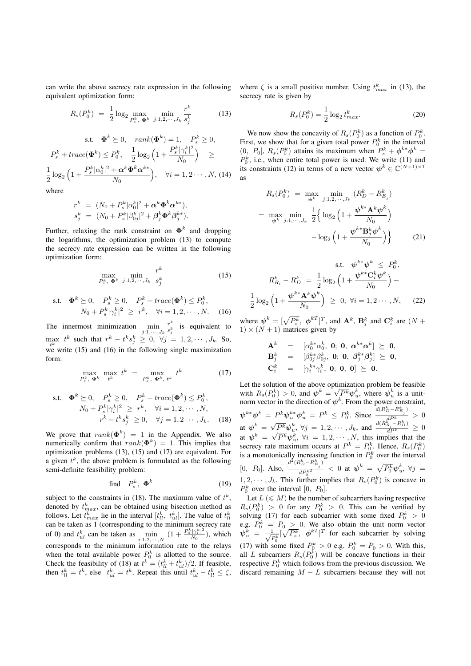can write the above secrecy rate expression in the following equivalent optimization form:

$$
R_s(P_0^k) = \frac{1}{2} \log_2 \max_{P_s^k, \ \Phi^k} \ \min_{j:1,2,\cdots,J_k} \frac{r^k}{s_j^k}
$$
(13)

s.t. 
$$
\mathbf{\Phi}^{k} \geq 0
$$
,  $rank(\mathbf{\Phi}^{k}) = 1$ ,  $P_{s}^{k} \geq 0$ ,  
\n $P_{s}^{k} + trace(\mathbf{\Phi}^{k}) \leq P_{0}^{k}$ ,  $\frac{1}{2} log_{2} \left(1 + \frac{P_{s}^{k} |\gamma_{i}^{k}|^{2}}{N_{0}}\right) \geq$   
\n $\frac{1}{2} log_{2} \left(1 + \frac{P_{s}^{k} |\alpha_{0}^{k}|^{2} + \alpha^{k} \mathbf{\Phi}^{k} \alpha^{k*}}{N_{0}}\right)$ ,  $\forall i = 1, 2 \cdots, N$ , (14)  
\nwhere

$$
r^{k} = (N_0 + P_s^{k} |\alpha_0^{k}|^2 + \alpha^{k} \Phi^{k} \alpha^{k*}),
$$
  
\n
$$
s_j^{k} = (N_0 + P_s^{k} |\beta_{0j}^{k}|^2 + \beta_j^{k} \Phi^{k} \beta_j^{k*}).
$$

Further, relaxing the rank constraint on  $\Phi^k$  and dropping the logarithms, the optimization problem (13) to compute the secrecy rate expression can be written in the following optimization form:

$$
\max_{P_s^k, \ \Phi^k} \ \min_{j:1,2,\cdots,J_k} \ \frac{r^k}{s_j^k} \tag{15}
$$

s.t. 
$$
\mathbf{\Phi}^{k} \succeq 0
$$
,  $P_{s}^{k} \geq 0$ ,  $P_{s}^{k} + trace(\mathbf{\Phi}^{k}) \leq P_{0}^{k}$ ,  
\n $N_{0} + P_{s}^{k} |\gamma_{i}^{k}|^{2} \geq r^{k}$ ,  $\forall i = 1, 2, \cdots, N$ . (16)

The innermost minimization  $\min_{j:1,\cdots,J_k}$  $\frac{r^k}{s_j^k}$  is equivalent to  $\max_{t^k} t^k$  such that  $r^k - t^k s_j^k \geq 0$ ,  $\forall j = 1, 2, \dots, J_k$ . So, we write (15) and (16) in the following single maximization form:

$$
\max_{P_s^k, \ \Phi^k} \ \max_{t^k} \ t^k = \max_{P_s^k, \ \Phi^k, \ t^k} \ t^k \tag{17}
$$

s.t. 
$$
\mathbf{\Phi}^k \succeq 0
$$
,  $P_s^k \ge 0$ ,  $P_s^k + trace(\mathbf{\Phi}^k) \le P_0^k$ ,  
\n
$$
N_0 + P_s^k |\gamma_i^k|^2 \ge r^k, \quad \forall i = 1, 2, \cdots, N,
$$
\n
$$
r^k - t^k s_j^k \ge 0, \quad \forall j = 1, 2 \cdots, J_k. \quad (18)
$$

We prove that  $rank(\Phi^k) = 1$  in the Appendix. We also numerically confirm that  $rank(\Phi^k) = 1$ . This implies that optimization problems (13), (15) and (17) are equivalent. For a given  $t^k$ , the above problem is formulated as the following semi-definite feasibility problem:

find 
$$
P_s^k
$$
,  $\mathbf{\Phi}^k$  (19)

subject to the constraints in (18). The maximum value of  $t^k$ , denoted by  $t_{max}^k$ , can be obtained using bisection method as follows. Let  $t_{max}^k$  lie in the interval  $[t_{ll}^k, t_{ul}^k]$ . The value of  $t_{ll}^k$ can be taken as 1 (corresponding to the minimum secrecy rate of 0) and  $t_{ul}^k$  can be taken as  $\min_{i:1,2,\dots,N} (1 + \frac{P_0^k |\gamma_i^k|^2}{N_0})$ , which corresponds to the minimum information rate to the relays when the total available power  $P_0^k$  is allotted to the source. Check the feasibility of (18) at  $t^k = (t^k_{ll} + t^k_{ul})/2$ . If feasible, then  $t_{ll}^k = t^k$ , else  $t_{ul}^k = t^k$ . Repeat this until  $t_{ul}^k - t_{ll}^k \leq \zeta$ ,

where  $\zeta$  is a small positive number. Using  $t_{max}^k$  in (13), the secrecy rate is given by

$$
R_s(P_0^k) = \frac{1}{2} \log_2 t_{max}^k.
$$
 (20)

We now show the concavity of  $R_s(P_0^k)$  as a function of  $P_0^k$ . First, we show that for a given total power  $P_0^k$  in the interval  $(0, P_0]$ ,  $R_s(P_0^k)$  attains its maximum when  $P_s^k + \phi^{k*} \phi^k =$  $P_0^k$ , i.e., when entire total power is used. We write (11) and its constraints (12) in terms of a new vector  $\psi^k \in \mathbb{C}^{(N+1)\times 1}$ as

$$
R_s(P_0^k) = \max_{\psi^k} \min_{j:1,2,\dots,J_k} (R_D^k - R_{E_j}^k)
$$
  
= 
$$
\max_{\psi^k} \min_{j:1,\dots,J_k} \frac{1}{2} \Big\{ \log_2 \Big( 1 + \frac{\psi^{k*} \mathbf{A}^k \psi^k}{N_0} \Big)
$$
  
- 
$$
\log_2 \Big( 1 + \frac{\psi^{k*} \mathbf{B}_j^k \psi^k}{N_0} \Big) \Big\}
$$
(21)

$$
\text{s.t.} \quad \psi^{k*} \psi^k \le P_0^k,
$$
\n
$$
R_{R_i}^k - R_D^k = \frac{1}{2} \log_2 \left( 1 + \frac{\psi^{k*} \mathbf{C}_i^k \psi^k}{N_0} \right) -
$$
\n
$$
\frac{1}{2} \log_2 \left( 1 + \frac{\psi^{k*} \mathbf{A}^k \psi^k}{N_0} \right) \ge 0, \ \forall i = 1, 2 \cdots, N, \tag{22}
$$

where  $\psi^k = [\sqrt{P_s^k}, \phi^{kT}]^T$ , and  $\mathbf{A}^k$ ,  $\mathbf{B}_j^k$  and  $\mathbf{C}_i^k$  are  $(N +$  $1) \times (N + 1)$  matrices given by

$$
\begin{array}{rcll} \mathbf{A}^k & = & [\alpha_0^{k*}\alpha_0^k, \; \mathbf{0}; \; \mathbf{0}, \; \pmb{\alpha}^{k*}\pmb{\alpha}^{k}] \; \succeq \; \mathbf{0}, \\ \mathbf{B}^k_j & = & [\beta_{0j}^{k*}\beta_{0j}^k, \; \mathbf{0}; \; \mathbf{0}, \; \pmb{\beta}^{k*}_j\pmb{\beta}^{k}_j] \; \succeq \; \mathbf{0}, \\ \mathbf{C}^k_i & = & [\gamma_i^{k*}\gamma_i^k, \; \mathbf{0}; \; \mathbf{0}, \; \mathbf{0}] \; \succeq \; \mathbf{0}. \end{array}
$$

Let the solution of the above optimization problem be feasible with  $R_s(P_0^k) > 0$ , and  $\psi^k = \sqrt{P^k} \psi^k_u$ , where  $\psi^k_u$  is a unitnorm vector in the direction of  $\psi^k$ . From the power constraint,  $\psi^{k*} \psi^k \ = \ P^k \psi_u^{k*} \psi_u^k \ = \ P^k \ \leq \ P_0^k.$  Since  $\frac{d(R_D^k - R_{B_j}^k)}{d(R_D^k - R_{B_j}^k)} > 0$ at  $\psi^k = \sqrt{P^k} \psi^k_u$ ,  $\forall j = 1, 2, \cdots, J_k$ , and  $\frac{d(R^k_{R_i} - R^k_D)}{dP^k} \geq 0$ at  $\psi^k = \sqrt{P^k} \psi^k_k$ ,  $\forall i = 1, 2, \cdots, N$ , this implies that the secrecy rate maximum occurs at  $P^k = P_0^k$ . Hence,  $R_s(P_0^k)$ is a monotonically increasing function in  $P_0^k$  over the interval [0,  $P_0$ ]. Also,  $\frac{d^2(R_D^k - R_{E_j}^k)}{dP_k^k}$  $\frac{d^2 D^{(1)}(E_j)}{d P_0^{k^2}}$  < 0 at  $\psi^k = \sqrt{P_0^k} \psi_u^k$ ,  $\forall j =$  $1, 2, \cdots, J_k$ . This further implies that  $R_s(P_0^k)$  is concave in  $P_0^k$  over the interval  $[0, P_0]$ .

Let  $L \leqslant M$ ) be the number of subcarriers having respective  $R_s(P_0^k) > 0$  for any  $P_0^k > 0$ . This can be verified by solving (17) for each subcarrier with some fixed  $P_0^k > 0$  $b_0^k > 0$ e.g.  $P_0^k = P_0 \geq 0$ . We also obtain the unit norm vector  $\psi_u^k = \frac{1}{\sqrt{P_0^k}} [\sqrt{P_s^k}, \phi^{kT}]^T$  for each subcarrier by solving (17) with some fixed  $P_0^k > 0$  e.g.  $P_0^k = P_0 > 0$ . With this, all L subcarriers  $R_s(P_0^k)$  will be concave functions in their respective  $P_0^k$  which follows from the previous discussion. We discard remaining  $M - L$  subcarriers because they will not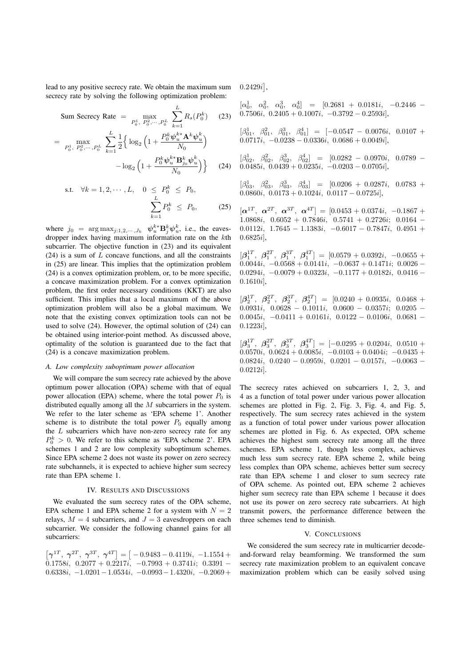lead to any positive secrecy rate. We obtain the maximum sum secrecy rate by solving the following optimization problem:

Sum Secretary Rate = 
$$
\max_{P_0^1, P_0^2, \cdots, P_0^L} \sum_{k=1}^L R_s(P_0^k)
$$
 (23)

$$
= \max_{P_0^1, P_0^2, \dots, P_0^L} \sum_{k=1}^L \frac{1}{2} \Big\{ \log_2 \Big( 1 + \frac{P_0^k \psi_u^{k*} \mathbf{A}^k \psi_u^k}{N_0} \Big) - \log_2 \Big( 1 + \frac{P_0^k \psi_u^{k*} \mathbf{B}_{j_0}^k \psi_u^k}{N_0} \Big) \Big\} \tag{24}
$$

s.t. 
$$
\forall k = 1, 2, \dots, L, \quad 0 \le P_0^k \le P_0,
$$
  

$$
\sum_{k=1}^L P_0^k \le P_0, \quad (25)
$$

where  $j_0 = \arg \max_{j:1,2,\dots, J_k} \psi_u^{k*} \mathbf{B}_j^k \psi_u^k$ , i.e., the eavesdropper index having maximum information rate on the  $k$ th subcarrier. The objective function in  $(23)$  and its equivalent  $(24)$  is a sum of  $L$  concave functions, and all the constraints in (25) are linear. This implies that the optimization problem (24) is a convex optimization problem, or, to be more specific, a concave maximization problem. For a convex optimization problem, the first order necessary conditions (KKT) are also sufficient. This implies that a local maximum of the above optimization problem will also be a global maximum. We note that the existing convex optimization tools can not be used to solve (24). However, the optimal solution of (24) can be obtained using interior-point method. As discussed above, optimality of the solution is guaranteed due to the fact that (24) is a concave maximization problem.

### *A. Low complexity suboptimum power allocation*

We will compare the sum secrecy rate achieved by the above optimum power allocation (OPA) scheme with that of equal power allocation (EPA) scheme, where the total power  $P_0$  is distributed equally among all the  $M$  subcarriers in the system. We refer to the later scheme as 'EPA scheme 1'. Another scheme is to distribute the total power  $P_0$  equally among the  $L$  subcarriers which have non-zero secrecy rate for any  $P_0^k > 0$ . We refer to this scheme as 'EPA scheme 2'. EPA schemes 1 and 2 are low complexity suboptimum schemes. Since EPA scheme 2 does not waste its power on zero secrecy rate subchannels, it is expected to achieve higher sum secrecy rate than EPA scheme 1.

#### IV. RESULTS AND DISCUSSIONS

We evaluated the sum secrecy rates of the OPA scheme, EPA scheme 1 and EPA scheme 2 for a system with  $N = 2$ relays,  $M = 4$  subcarriers, and  $J = 3$  eavesdroppers on each subcarrier. We consider the following channel gains for all subcarriers:

$$
\begin{bmatrix} \gamma^{1T}, & \gamma^{2T}, & \gamma^{3T}, & \gamma^{4T} \end{bmatrix} = \begin{bmatrix} -0.9483 - 0.4119i, & -1.1554 + 0.1758i, & 0.2077 + 0.2217i, & -0.7993 + 0.3741i, & 0.3391 - 0.6338i, & -1.0201 - 1.0534i, & -0.0993 - 1.4320i, & -0.2069 + 0.0093 - 0.0003 - 0.0003 - 0.0003 - 0.0003 - 0.0003 - 0.0003 - 0.0003 - 0.0003 - 0.0003 - 0.0003 - 0.0003 - 0.0003 - 0.0003 - 0.0003 - 0.0003 - 0.0003 - 0.0003 - 0.0003 - 0.0003 - 0.0003 - 0.0003 - 0.0003 - 0.0003 - 0.0003 - 0.0003 - 0.0003 - 0.0003 - 0.0003 - 0.0003 - 0.0003 - 0.0003 - 0.0003 - 0.0003 - 0.0003 - 0.0003 - 0.0003 - 0.0003 - 0.0003 - 0.0003 - 0.0003 - 0.0003 - 0.0003 - 0.0003 - 0.0003 - 0.0003 - 0.0003 - 0.0003 - 0.0003 - 0.0003 - 0.0003 - 0.0003 - 0.0003 - 0.0003 - 0.0003 - 0.0003 - 0.0003 - 0.0003 - 0.0003 - 0.0003 - 0.0003 - 0.0003 - 0.0003 - 0.0003 - 0.0003 - 0.0003 - 0.0003 - 0.0003 - 0.0003 - 0.0003 - 0.0003 - 0.0003 - 0.0
$$

 $0.2429i,$ 

 $\left[\alpha_0^1, \alpha_0^2, \alpha_0^3, \alpha_0^4\right] = \left[0.2681 + 0.0181i, -0.2446 - \right]$ 0.7506i,  $0.2405 + 0.1007i$ ,  $-0.3792 - 0.2593i$ ,

$$
\begin{array}{rcl}\n[\beta_{01}^1, & \beta_{01}^2, & \beta_{01}^3, & \beta_{01}^4\n\end{array} = [-0.0547 - 0.0076i, \quad 0.0107 + 0.0717i, \quad -0.0238 - 0.0336i, \quad 0.0686 + 0.0049i],
$$

$$
\begin{array}{rcl}\n[\beta_{02}^1, & \beta_{02}^2, & \beta_{02}^3, & \beta_{02}^4\n\end{array}\n\quad = \begin{array}{rcl}\n[0.0282 - 0.0970i, & 0.0789 - 0.0485i, & 0.0439 + 0.0235i, & -0.0203 - 0.0705i\n\end{array}\n\right.
$$

$$
\begin{array}{rcl}\n[\beta_{03}^1, & \beta_{03}^2, & \beta_{03}^3, & \beta_{03}^4\n\end{array} = \begin{array}{rcl}\n[0.0206 + 0.0287i, & 0.0783 + 0.0860i, & 0.0173 + 0.1024i, & 0.0117 - 0.0725i\n\end{array}
$$

 $[\alpha^{1T}, \alpha^{2T}, \alpha^{3T}, \alpha^{4T}] = [0.0453 + 0.0374i, -0.1867 +$  $1.0868i, 0.6052 + 0.7846i, 0.5741 + 0.2726i; 0.0164 0.0112i, 1.7645 - 1.1383i, -0.6017 - 0.7847i, 0.4951 +$  $0.6825i$ 

 $[\beta_1^{1T}, \beta_1^{2T}, \beta_1^{3T}, \beta_1^{4T}] = [0.0579 + 0.0392i, -0.0655 +$  $0.0044i, -0.0568 + 0.0141i, -0.0637 + 0.1471i; 0.0026 0.0294i, -0.0079 + 0.0323i, -0.1177 + 0.0182i, 0.0416 0.1610i$ ,

 $[\beta_2^{1T}, \beta_2^{2T}, \beta_2^{3T}, \beta_2^{4T}] = [0.0240 + 0.0935i, 0.0468 +$  $0.0931i, 0.0628 - 0.1011i, 0.0600 - 0.0357i; 0.0205 0.0045i, -0.0411 + 0.0161i, 0.0122 - 0.0106i, 0.0681 0.1223i$ ].

 $[\beta_3^{1T}, \beta_3^{2T}, \beta_3^{3T}, \beta_3^{4T}] = [-0.0295 + 0.0204i, 0.0510 +$  $0.0570i, 0.0624 + 0.0085i, -0.0103 + 0.0404i, -0.0435 +$  $0.0824i, 0.0240 - 0.0959i, 0.0201 - 0.0157i, -0.0063 0.0212i$ ].

The secrecy rates achieved on subcarriers 1, 2, 3, and 4 as a function of total power under various power allocation schemes are plotted in Fig. 2, Fig. 3, Fig. 4, and Fig. 5, respectively. The sum secrecy rates achieved in the system as a function of total power under various power allocation schemes are plotted in Fig. 6. As expected, OPA scheme achieves the highest sum secrecy rate among all the three schemes. EPA scheme 1, though less complex, achieves much less sum secrecy rate. EPA scheme 2, while being less complex than OPA scheme, achieves better sum secrecy rate than EPA scheme 1 and closer to sum secrecy rate of OPA scheme. As pointed out, EPA scheme 2 achieves higher sum secrecy rate than EPA scheme 1 because it does not use its power on zero secrecy rate subcarriers. At high transmit powers, the performance difference between the three schemes tend to diminish.

#### V. CONCLUSIONS

We considered the sum secrecy rate in multicarrier decodeand-forward relay beamforming. We transformed the sum secrecy rate maximization problem to an equivalent concave maximization problem which can be easily solved using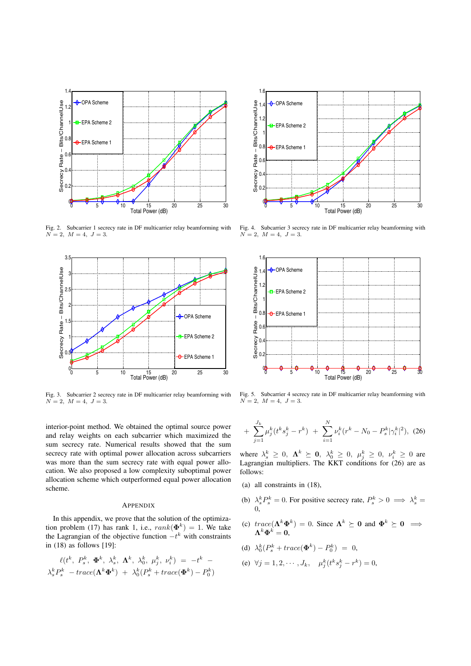

Fig. 2. Subcarrier 1 secrecy rate in DF multicarrier relay beamforming with  $N = 2, M = 4, J = 3.$ 



Fig. 3. Subcarrier 2 secrecy rate in DF multicarrier relay beamforming with  $N = 2, M = 4, J = 3.$ 

interior-point method. We obtained the optimal source power and relay weights on each subcarrier which maximized the sum secrecy rate. Numerical results showed that the sum secrecy rate with optimal power allocation across subcarriers was more than the sum secrecy rate with equal power allocation. We also proposed a low complexity suboptimal power allocation scheme which outperformed equal power allocation scheme.

#### **APPENDIX**

In this appendix, we prove that the solution of the optimization problem (17) has rank 1, i.e.,  $rank(\mathbf{\Phi}^k) = 1$ . We take the Lagrangian of the objective function  $-t^k$  with constraints in (18) as follows [19]:

$$
\ell(t^k, P_s^k, \Phi^k, \lambda_s^k, \Lambda^k, \lambda_0^k, \mu_j^k, \nu_i^k) = -t^k -
$$
  

$$
\lambda_s^k P_s^k - trace(\Lambda^k \Phi^k) + \lambda_0^k (P_s^k + trace(\Phi^k) - P_0^k)
$$



Fig. 4. Subcarrier 3 secrecy rate in DF multicarrier relay beamforming with  $N = 2, M = 4, J = 3.$ 



Fig. 5. Subcarrier 4 secrecy rate in DF multicarrier relay beamforming with  $N = 2, M = 4, J = 3.$ 

+ 
$$
\sum_{j=1}^{J_k} \mu_j^k (t^k s_j^k - r^k)
$$
 +  $\sum_{i=1}^{N} \nu_i^k (r^k - N_0 - P_s^k |\gamma_i^k|^2)$ , (26)

where  $\lambda_s^k \geq 0$ ,  $\mathbf{\Lambda}^k \succeq \mathbf{0}$ ,  $\lambda_0^k \geq 0$ ,  $\mu_j^k \geq 0$ ,  $\nu_i^k \geq 0$  are Lagrangian multipliers. The KKT conditions for (26) are as follows:

- (a) all constraints in (18),
- (b)  $\lambda_s^k P_s^k = 0$ . For positive secrecy rate,  $P_s^k > 0 \implies \lambda_s^k =$ 0,
- (c)  $trace(\Lambda^k\Phi^k) = 0$ . Since  $\Lambda^k \succeq 0$  and  $\Phi^k \succeq 0 \implies$  $\mathbf{\Lambda}^{k} \mathbf{\Phi}^{k} = \mathbf{0},$
- (d)  $\lambda_0^k(P_s^k + trace(\mathbf{\Phi}^k) P_0^k) = 0,$
- (e)  $\forall j = 1, 2, \cdots, J_k, \quad \mu_j^k(t^k s_j^k r^k) = 0,$